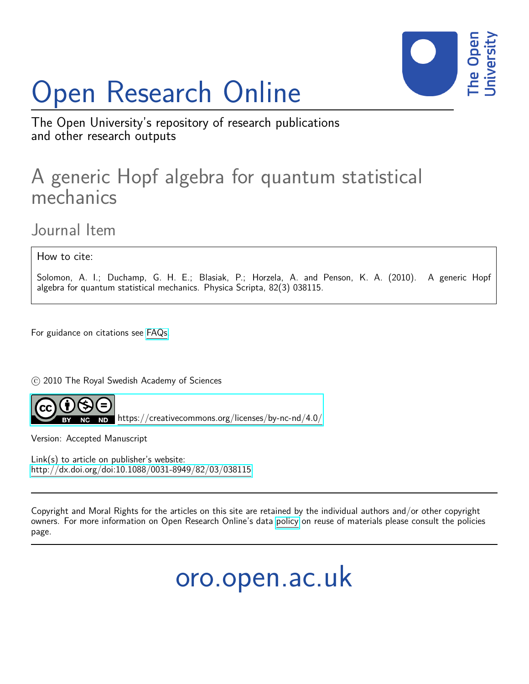# Open Research Online



The Open University's repository of research publications and other research outputs

## A generic Hopf algebra for quantum statistical mechanics

Journal Item

How to cite:

Solomon, A. I.; Duchamp, G. H. E.; Blasiak, P.; Horzela, A. and Penson, K. A. (2010). A generic Hopf algebra for quantum statistical mechanics. Physica Scripta, 82(3) 038115.

For guidance on citations see [FAQs.](http://oro.open.ac.uk/help/helpfaq.html)

c 2010 The Royal Swedish Academy of Sciences



<https://creativecommons.org/licenses/by-nc-nd/4.0/>

Version: Accepted Manuscript

Link(s) to article on publisher's website: <http://dx.doi.org/doi:10.1088/0031-8949/82/03/038115>

Copyright and Moral Rights for the articles on this site are retained by the individual authors and/or other copyright owners. For more information on Open Research Online's data [policy](http://oro.open.ac.uk/policies.html) on reuse of materials please consult the policies page.

oro.open.ac.uk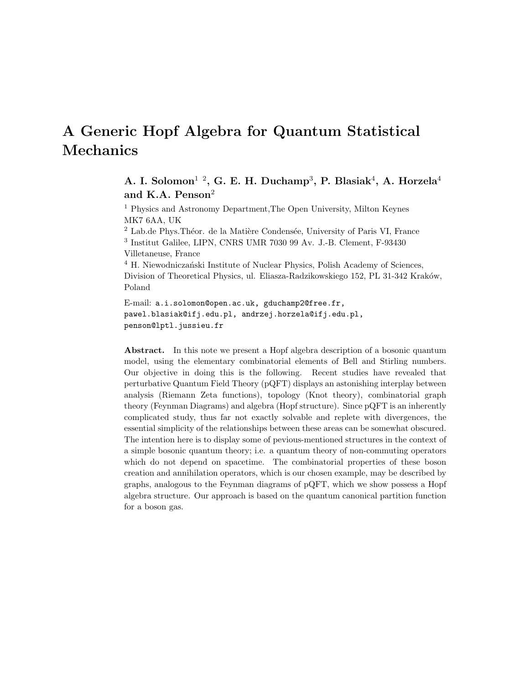### A Generic Hopf Algebra for Quantum Statistical Mechanics

A. I. Solomon $^{1/2}$ , G. E. H. Duchamp<sup>3</sup>, P. Blasiak<sup>4</sup>, A. Horzela<sup>4</sup> and K.A. Penson<sup>2</sup>

<sup>1</sup> Physics and Astronomy Department,The Open University, Milton Keynes MK7 6AA, UK

<sup>2</sup> Lab.de Phys. Théor. de la Matière Condensée, University of Paris VI, France 3 Institut Galilee, LIPN, CNRS UMR 7030 99 Av. J.-B. Clement, F-93430 Villetaneuse, France

<sup>4</sup> H. Niewodniczański Institute of Nuclear Physics, Polish Academy of Sciences, Division of Theoretical Physics, ul. Eliasza-Radzikowskiego 152, PL 31-342 Kraków, Poland

E-mail: a.i.solomon@open.ac.uk, gduchamp2@free.fr, pawel.blasiak@ifj.edu.pl, andrzej.horzela@ifj.edu.pl, penson@lptl.jussieu.fr

Abstract. In this note we present a Hopf algebra description of a bosonic quantum model, using the elementary combinatorial elements of Bell and Stirling numbers. Our objective in doing this is the following. Recent studies have revealed that perturbative Quantum Field Theory (pQFT) displays an astonishing interplay between analysis (Riemann Zeta functions), topology (Knot theory), combinatorial graph theory (Feynman Diagrams) and algebra (Hopf structure). Since pQFT is an inherently complicated study, thus far not exactly solvable and replete with divergences, the essential simplicity of the relationships between these areas can be somewhat obscured. The intention here is to display some of pevious-mentioned structures in the context of a simple bosonic quantum theory; i.e. a quantum theory of non-commuting operators which do not depend on spacetime. The combinatorial properties of these boson creation and annihilation operators, which is our chosen example, may be described by graphs, analogous to the Feynman diagrams of pQFT, which we show possess a Hopf algebra structure. Our approach is based on the quantum canonical partition function for a boson gas.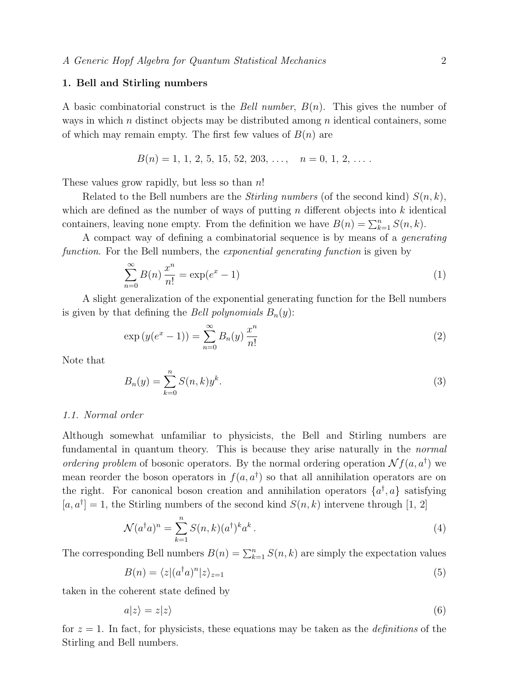#### 1. Bell and Stirling numbers

A basic combinatorial construct is the *Bell number*,  $B(n)$ . This gives the number of ways in which n distinct objects may be distributed among n identical containers, some of which may remain empty. The first few values of  $B(n)$  are

$$
B(n) = 1, 1, 2, 5, 15, 52, 203, \ldots, \quad n = 0, 1, 2, \ldots
$$

These values grow rapidly, but less so than  $n!$ 

Related to the Bell numbers are the *Stirling numbers* (of the second kind)  $S(n, k)$ , which are defined as the number of ways of putting n different objects into  $k$  identical containers, leaving none empty. From the definition we have  $B(n) = \sum_{k=1}^{n} S(n, k)$ .

A compact way of defining a combinatorial sequence is by means of a generating function. For the Bell numbers, the *exponential generating function* is given by

$$
\sum_{n=0}^{\infty} B(n) \frac{x^n}{n!} = \exp(e^x - 1)
$$
 (1)

A slight generalization of the exponential generating function for the Bell numbers is given by that defining the *Bell polynomials*  $B_n(y)$ :

$$
\exp(y(e^x - 1)) = \sum_{n=0}^{\infty} B_n(y) \frac{x^n}{n!}
$$
 (2)

Note that

$$
B_n(y) = \sum_{k=0}^{n} S(n,k)y^k.
$$
 (3)

#### 1.1. Normal order

Although somewhat unfamiliar to physicists, the Bell and Stirling numbers are fundamental in quantum theory. This is because they arise naturally in the *normal* ordering problem of bosonic operators. By the normal ordering operation  $\mathcal{N}f(a, a^{\dagger})$  we mean reorder the boson operators in  $f(a, a^{\dagger})$  so that all annihilation operators are on the right. For canonical boson creation and annihilation operators  $\{a^{\dagger}, a\}$  satisfying  $[a, a^{\dagger}] = 1$ , the Stirling numbers of the second kind  $S(n, k)$  intervene through [1, 2]

$$
\mathcal{N}(a^{\dagger}a)^n = \sum_{k=1}^n S(n,k)(a^{\dagger})^k a^k.
$$
\n(4)

The corresponding Bell numbers  $B(n) = \sum_{k=1}^{n} S(n, k)$  are simply the expectation values

$$
B(n) = \langle z | (a^\dagger a)^n | z \rangle_{z=1} \tag{5}
$$

taken in the coherent state defined by

$$
a|z\rangle = z|z\rangle \tag{6}
$$

for  $z = 1$ . In fact, for physicists, these equations may be taken as the *definitions* of the Stirling and Bell numbers.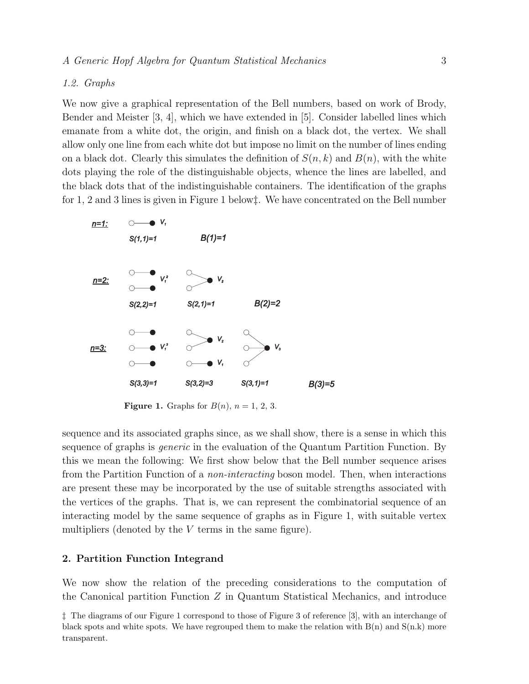#### 1.2. Graphs

We now give a graphical representation of the Bell numbers, based on work of Brody, Bender and Meister [3, 4], which we have extended in [5]. Consider labelled lines which emanate from a white dot, the origin, and finish on a black dot, the vertex. We shall allow only one line from each white dot but impose no limit on the number of lines ending on a black dot. Clearly this simulates the definition of  $S(n, k)$  and  $B(n)$ , with the white dots playing the role of the distinguishable objects, whence the lines are labelled, and the black dots that of the indistinguishable containers. The identification of the graphs for 1, 2 and 3 lines is given in Figure 1 below‡. We have concentrated on the Bell number



**Figure 1.** Graphs for  $B(n)$ ,  $n = 1, 2, 3$ .

sequence and its associated graphs since, as we shall show, there is a sense in which this sequence of graphs is *generic* in the evaluation of the Quantum Partition Function. By this we mean the following: We first show below that the Bell number sequence arises from the Partition Function of a non-interacting boson model. Then, when interactions are present these may be incorporated by the use of suitable strengths associated with the vertices of the graphs. That is, we can represent the combinatorial sequence of an interacting model by the same sequence of graphs as in Figure 1, with suitable vertex multipliers (denoted by the  $V$  terms in the same figure).

#### 2. Partition Function Integrand

We now show the relation of the preceding considerations to the computation of the Canonical partition Function Z in Quantum Statistical Mechanics, and introduce

<sup>‡</sup> The diagrams of our Figure 1 correspond to those of Figure 3 of reference [3], with an interchange of black spots and white spots. We have regrouped them to make the relation with  $B(n)$  and  $S(n,k)$  more transparent.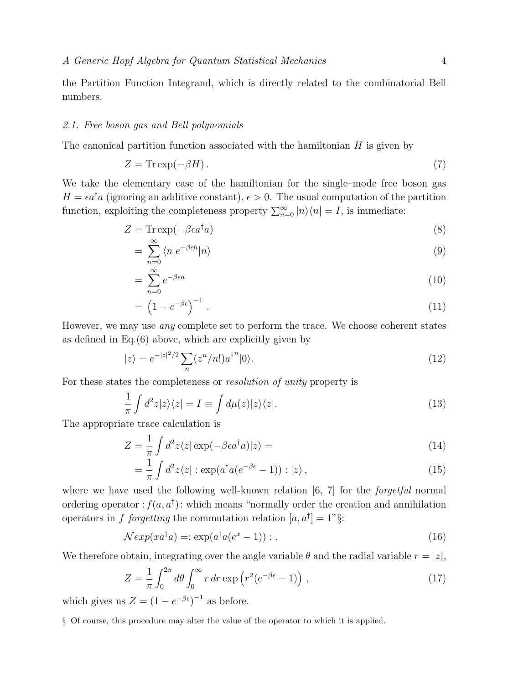the Partition Function Integrand, which is directly related to the combinatorial Bell numbers.

#### 2.1. Free boson gas and Bell polynomials

The canonical partition function associated with the hamiltonian H is given by

$$
Z = \text{Tr}\exp(-\beta H). \tag{7}
$$

We take the elementary case of the hamiltonian for the single–mode free boson gas  $H = \epsilon a^{\dagger} a$  (ignoring an additive constant),  $\epsilon > 0$ . The usual computation of the partition function, exploiting the completeness property  $\sum_{n=0}^{\infty} |n\rangle\langle n| = I$ , is immediate:

$$
Z = \text{Tr} \exp(-\beta \epsilon a^{\dagger} a) \tag{8}
$$

$$
=\sum_{n=0}^{\infty} \langle n|e^{-\beta \epsilon \hat{n}}|n\rangle\tag{9}
$$

$$
=\sum_{n=0}^{\infty}e^{-\beta\epsilon n}\tag{10}
$$

$$
= \left(1 - e^{-\beta \epsilon}\right)^{-1}.
$$
\n<sup>(11)</sup>

However, we may use any complete set to perform the trace. We choose coherent states as defined in Eq.(6) above, which are explicitly given by

$$
|z\rangle = e^{-|z|^2/2} \sum_{n} (z^n/n!) a^{\dagger^n} |0\rangle.
$$
 (12)

For these states the completeness or *resolution of unity* property is

$$
\frac{1}{\pi} \int d^2 z |z\rangle\langle z| = I \equiv \int d\mu(z) |z\rangle\langle z|.
$$
\n(13)

The appropriate trace calculation is

$$
Z = \frac{1}{\pi} \int d^2 z \langle z | \exp(-\beta \epsilon a^\dagger a) | z \rangle = \tag{14}
$$

$$
= \frac{1}{\pi} \int d^2 z \langle z | : \exp(a^\dagger a (e^{-\beta \epsilon} - 1)) : | z \rangle , \qquad (15)
$$

where we have used the following well-known relation [6, 7] for the *forgetful* normal ordering operator :  $f(a, a^{\dagger})$ : which means "normally order the creation and annihilation operators in f forgetting the commutation relation  $[a, a^{\dagger}] = 1$ "§:

$$
\mathcal{N}exp(xa^{\dagger}a) = \exp(a^{\dagger}a(e^x - 1)) : . \tag{16}
$$

We therefore obtain, integrating over the angle variable  $\theta$  and the radial variable  $r = |z|$ ,

$$
Z = \frac{1}{\pi} \int_0^{2\pi} d\theta \int_0^{\infty} r dr \exp\left(r^2 (e^{-\beta \epsilon} - 1)\right), \qquad (17)
$$

which gives us  $Z = (1 - e^{-\beta \epsilon})^{-1}$  as before.

§ Of course, this procedure may alter the value of the operator to which it is applied.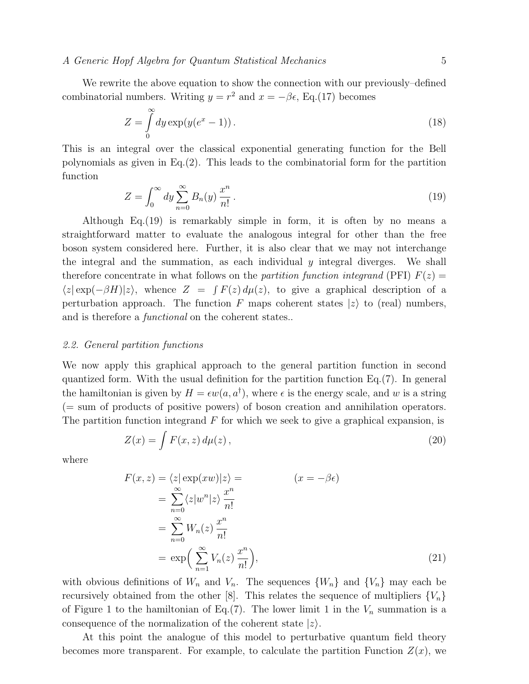We rewrite the above equation to show the connection with our previously–defined combinatorial numbers. Writing  $y = r^2$  and  $x = -\beta \epsilon$ , Eq.(17) becomes

$$
Z = \int_{0}^{\infty} dy \exp(y(e^x - 1)).
$$
\n(18)

This is an integral over the classical exponential generating function for the Bell polynomials as given in Eq.(2). This leads to the combinatorial form for the partition function

$$
Z = \int_0^\infty dy \sum_{n=0}^\infty B_n(y) \frac{x^n}{n!} \,. \tag{19}
$$

Although Eq.(19) is remarkably simple in form, it is often by no means a straightforward matter to evaluate the analogous integral for other than the free boson system considered here. Further, it is also clear that we may not interchange the integral and the summation, as each individual  $y$  integral diverges. We shall therefore concentrate in what follows on the partition function integrand (PFI)  $F(z)$  $\langle z | \exp(-\beta H) | z \rangle$ , whence  $Z = \int F(z) d\mu(z)$ , to give a graphical description of a perturbation approach. The function F maps coherent states  $|z\rangle$  to (real) numbers, and is therefore a *functional* on the coherent states...

#### 2.2. General partition functions

We now apply this graphical approach to the general partition function in second quantized form. With the usual definition for the partition function Eq.(7). In general the hamiltonian is given by  $H = \epsilon w(a, a^{\dagger})$ , where  $\epsilon$  is the energy scale, and w is a string (= sum of products of positive powers) of boson creation and annihilation operators. The partition function integrand  $F$  for which we seek to give a graphical expansion, is

$$
Z(x) = \int F(x, z) d\mu(z), \qquad (20)
$$

where

$$
F(x, z) = \langle z | \exp(xw) | z \rangle =
$$
  
\n
$$
= \sum_{n=0}^{\infty} \langle z | w^n | z \rangle \frac{x^n}{n!}
$$
  
\n
$$
= \sum_{n=0}^{\infty} W_n(z) \frac{x^n}{n!}
$$
  
\n
$$
= \exp\left(\sum_{n=1}^{\infty} V_n(z) \frac{x^n}{n!}\right),
$$
  
\n(21)

with obvious definitions of  $W_n$  and  $V_n$ . The sequences  $\{W_n\}$  and  $\{V_n\}$  may each be recursively obtained from the other [8]. This relates the sequence of multipliers  ${V_n}$ of Figure 1 to the hamiltonian of Eq.(7). The lower limit 1 in the  $V_n$  summation is a consequence of the normalization of the coherent state  $|z\rangle$ .

At this point the analogue of this model to perturbative quantum field theory becomes more transparent. For example, to calculate the partition Function  $Z(x)$ , we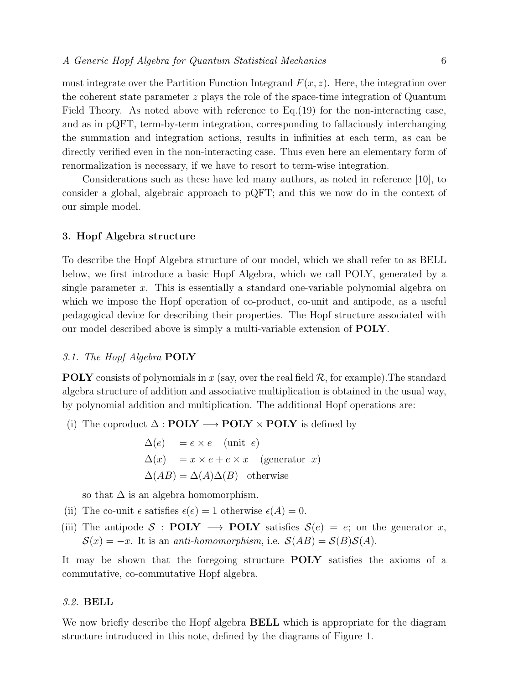must integrate over the Partition Function Integrand  $F(x, z)$ . Here, the integration over the coherent state parameter  $z$  plays the role of the space-time integration of Quantum Field Theory. As noted above with reference to Eq.(19) for the non-interacting case, and as in pQFT, term-by-term integration, corresponding to fallaciously interchanging the summation and integration actions, results in infinities at each term, as can be directly verified even in the non-interacting case. Thus even here an elementary form of renormalization is necessary, if we have to resort to term-wise integration.

Considerations such as these have led many authors, as noted in reference [10], to consider a global, algebraic approach to pQFT; and this we now do in the context of our simple model.

#### 3. Hopf Algebra structure

To describe the Hopf Algebra structure of our model, which we shall refer to as BELL below, we first introduce a basic Hopf Algebra, which we call POLY, generated by a single parameter x. This is essentially a standard one-variable polynomial algebra on which we impose the Hopf operation of co-product, co-unit and antipode, as a useful pedagogical device for describing their properties. The Hopf structure associated with our model described above is simply a multi-variable extension of POLY.

#### 3.1. The Hopf Algebra **POLY**

**POLY** consists of polynomials in x (say, over the real field  $\mathcal{R}$ , for example). The standard algebra structure of addition and associative multiplication is obtained in the usual way, by polynomial addition and multiplication. The additional Hopf operations are:

(i) The coproduct  $\Delta : \text{POLY} \longrightarrow \text{POLY} \times \text{POLY}$  is defined by

 $\Delta(e) = e \times e$  (unit e)  $\Delta(x) = x \times e + e \times x$  (generator x)  $\Delta(AB) = \Delta(A)\Delta(B)$  otherwise

so that  $\Delta$  is an algebra homomorphism.

- (ii) The co-unit  $\epsilon$  satisfies  $\epsilon(e) = 1$  otherwise  $\epsilon(A) = 0$ .
- (iii) The antipode S : **POLY**  $\longrightarrow$  **POLY** satisfies  $S(e) = e$ ; on the generator x,  $\mathcal{S}(x) = -x$ . It is an *anti-homomorphism*, i.e.  $\mathcal{S}(AB) = \mathcal{S}(B)\mathcal{S}(A)$ .

It may be shown that the foregoing structure **POLY** satisfies the axioms of a commutative, co-commutative Hopf algebra.

#### 3.2. BELL

We now briefly describe the Hopf algebra **BELL** which is appropriate for the diagram structure introduced in this note, defined by the diagrams of Figure 1.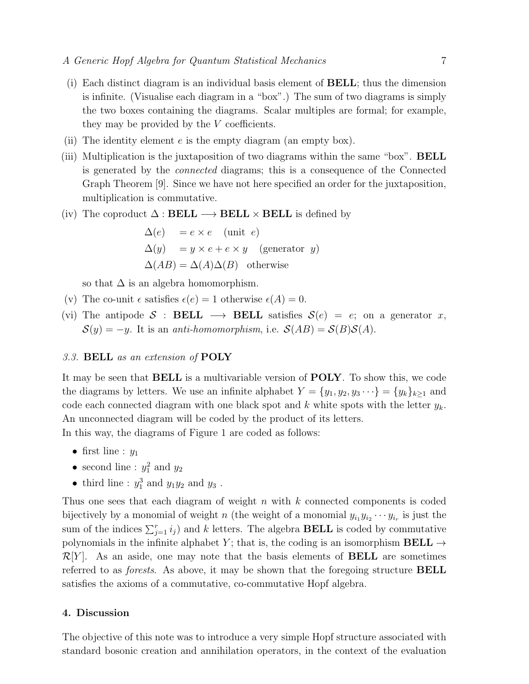- (i) Each distinct diagram is an individual basis element of BELL; thus the dimension is infinite. (Visualise each diagram in a "box".) The sum of two diagrams is simply the two boxes containing the diagrams. Scalar multiples are formal; for example, they may be provided by the  $V$  coefficients.
- (ii) The identity element  $e$  is the empty diagram (an empty box).
- (iii) Multiplication is the juxtaposition of two diagrams within the same "box". BELL is generated by the connected diagrams; this is a consequence of the Connected Graph Theorem [9]. Since we have not here specified an order for the juxtaposition, multiplication is commutative.
- (iv) The coproduct  $\Delta: \textbf{BEL} \longrightarrow \textbf{BEL} \times \textbf{BEL}$  is defined by

$$
\Delta(e) = e \times e \quad \text{(unit } e)
$$
  
 
$$
\Delta(y) = y \times e + e \times y \quad \text{(generator } y)
$$
  
 
$$
\Delta(AB) = \Delta(A)\Delta(B) \quad \text{otherwise}
$$

so that  $\Delta$  is an algebra homomorphism.

- (v) The co-unit  $\epsilon$  satisfies  $\epsilon(e) = 1$  otherwise  $\epsilon(A) = 0$ .
- (vi) The antipode S : **BELL**  $\longrightarrow$  **BELL** satisfies  $S(e) = e$ ; on a generator x,  $S(y) = -y$ . It is an *anti-homomorphism*, i.e.  $S(AB) = S(B)S(A)$ .

#### 3.3. BELL as an extension of POLY

It may be seen that BELL is a multivariable version of POLY. To show this, we code the diagrams by letters. We use an infinite alphabet  $Y = \{y_1, y_2, y_3 \cdots\} = \{y_k\}_{k\geq 1}$  and code each connected diagram with one black spot and k white spots with the letter  $y_k$ . An unconnected diagram will be coded by the product of its letters. In this way, the diagrams of Figure 1 are coded as follows:

- first line :  $y_1$
- second line :  $y_1^2$  and  $y_2$
- third line :  $y_1^3$  and  $y_1y_2$  and  $y_3$ .

Thus one sees that each diagram of weight  $n$  with  $k$  connected components is coded bijectively by a monomial of weight n (the weight of a monomial  $y_{i_1}y_{i_2}\cdots y_{i_r}$  is just the sum of the indices  $\sum_{j=1}^r i_j$  and k letters. The algebra **BELL** is coded by commutative polynomials in the infinite alphabet Y; that is, the coding is an isomorphism **BELL**  $\rightarrow$  $\mathcal{R}[Y]$ . As an aside, one may note that the basis elements of **BELL** are sometimes referred to as forests. As above, it may be shown that the foregoing structure BELL satisfies the axioms of a commutative, co-commutative Hopf algebra.

#### 4. Discussion

The objective of this note was to introduce a very simple Hopf structure associated with standard bosonic creation and annihilation operators, in the context of the evaluation